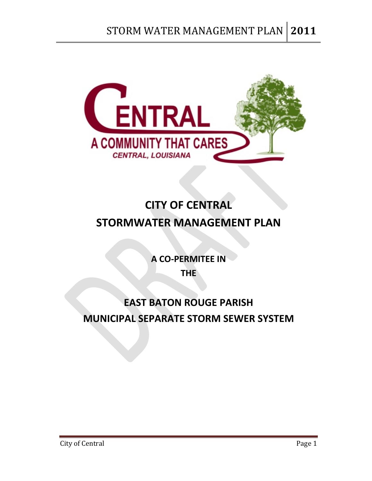

# **CITY OF CENTRAL STORMWATER MANAGEMENT PLAN**

**A CO‐PERMITEE IN THE** 

## **EAST BATON ROUGE PARISH MUNICIPAL SEPARATE STORM SEWER SYSTEM**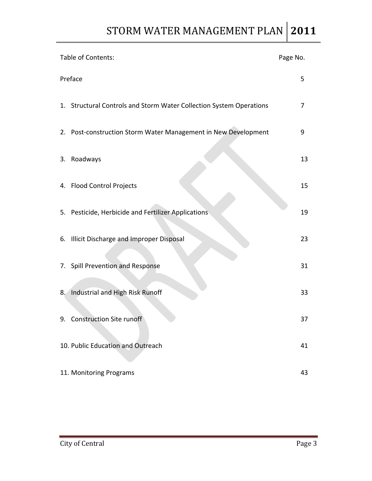| Table of Contents:                                                  | Page No. |
|---------------------------------------------------------------------|----------|
| Preface                                                             | 5        |
| 1. Structural Controls and Storm Water Collection System Operations | 7        |
| 2. Post-construction Storm Water Management in New Development      | 9        |
| 3. Roadways                                                         | 13       |
| 4. Flood Control Projects                                           | 15       |
| 5. Pesticide, Herbicide and Fertilizer Applications                 | 19       |
| 6. Illicit Discharge and Improper Disposal                          | 23       |
| 7. Spill Prevention and Response                                    | 31       |
| Industrial and High Risk Runoff<br>8.                               | 33       |
| 9. Construction Site runoff                                         | 37       |
| 10. Public Education and Outreach                                   | 41       |
| 11. Monitoring Programs                                             | 43       |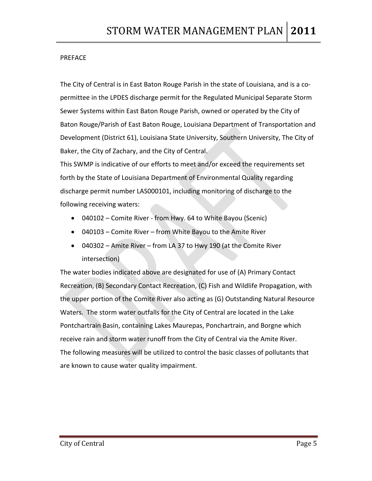#### PREFACE

The City of Central is in East Baton Rouge Parish in the state of Louisiana, and is a co‐ permittee in the LPDES discharge permit for the Regulated Municipal Separate Storm Sewer Systems within East Baton Rouge Parish, owned or operated by the City of Baton Rouge/Parish of East Baton Rouge, Louisiana Department of Transportation and Development (District 61), Louisiana State University, Southern University, The City of Baker, the City of Zachary, and the City of Central.

This SWMP is indicative of our efforts to meet and/or exceed the requirements set forth by the State of Louisiana Department of Environmental Quality regarding discharge permit number LAS000101, including monitoring of discharge to the following receiving waters:

- 040102 Comite River from Hwy. 64 to White Bayou (Scenic)
- 040103 Comite River from White Bayou to the Amite River
- 040302 Amite River from LA 37 to Hwy 190 (at the Comite River intersection)

The water bodies indicated above are designated for use of (A) Primary Contact Recreation, (B) Secondary Contact Recreation, (C) Fish and Wildlife Propagation, with the upper portion of the Comite River also acting as (G) Outstanding Natural Resource Waters. The storm water outfalls for the City of Central are located in the Lake Pontchartrain Basin, containing Lakes Maurepas, Ponchartrain, and Borgne which receive rain and storm water runoff from the City of Central via the Amite River. The following measures will be utilized to control the basic classes of pollutants that are known to cause water quality impairment.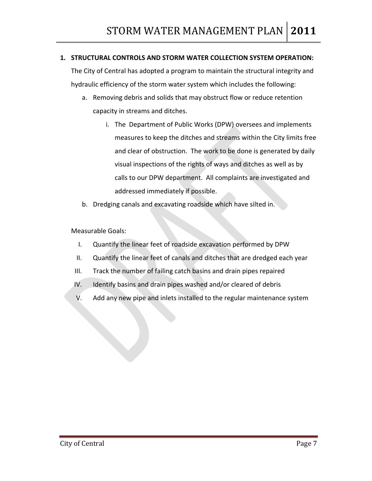#### **1. STRUCTURAL CONTROLS AND STORM WATER COLLECTION SYSTEM OPERATION:**

The City of Central has adopted a program to maintain the structural integrity and hydraulic efficiency of the storm water system which includes the following:

- a. Removing debris and solids that may obstruct flow or reduce retention capacity in streams and ditches.
	- i. The Department of Public Works (DPW) oversees and implements measures to keep the ditches and streams within the City limits free and clear of obstruction. The work to be done is generated by daily visual inspections of the rights of ways and ditches as well as by calls to our DPW department. All complaints are investigated and addressed immediately if possible.
- b. Dredging canals and excavating roadside which have silted in.

- I. Quantify the linear feet of roadside excavation performed by DPW
- II. Quantify the linear feet of canals and ditches that are dredged each year
- III. Track the number of failing catch basins and drain pipes repaired
- IV. Identify basins and drain pipes washed and/or cleared of debris
- V. Add any new pipe and inlets installed to the regular maintenance system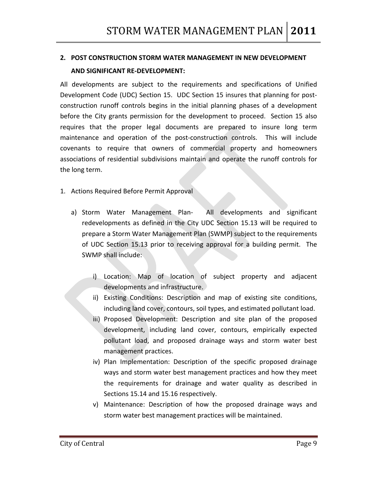## **2. POST CONSTRUCTION STORM WATER MANAGEMENT IN NEW DEVELOPMENT AND SIGNIFICANT RE‐DEVELOPMENT:**

All developments are subject to the requirements and specifications of Unified Development Code (UDC) Section 15. UDC Section 15 insures that planning for postconstruction runoff controls begins in the initial planning phases of a development before the City grants permission for the development to proceed. Section 15 also requires that the proper legal documents are prepared to insure long term maintenance and operation of the post-construction controls. This will include covenants to require that owners of commercial property and homeowners associations of residential subdivisions maintain and operate the runoff controls for the long term.

- 1. Actions Required Before Permit Approval
	- a) Storm Water Management Plan- All developments and significant redevelopments as defined in the City UDC Section 15.13 will be required to prepare a Storm Water Management Plan (SWMP) subject to the requirements of UDC Section 15.13 prior to receiving approval for a building permit. The SWMP shall include:
		- i) Location: Map of location of subject property and adjacent developments and infrastructure.
		- ii) Existing Conditions: Description and map of existing site conditions, including land cover, contours, soil types, and estimated pollutant load.
		- iii) Proposed Development: Description and site plan of the proposed development, including land cover, contours, empirically expected pollutant load, and proposed drainage ways and storm water best management practices.
		- iv) Plan Implementation: Description of the specific proposed drainage ways and storm water best management practices and how they meet the requirements for drainage and water quality as described in Sections 15.14 and 15.16 respectively.
		- v) Maintenance: Description of how the proposed drainage ways and storm water best management practices will be maintained.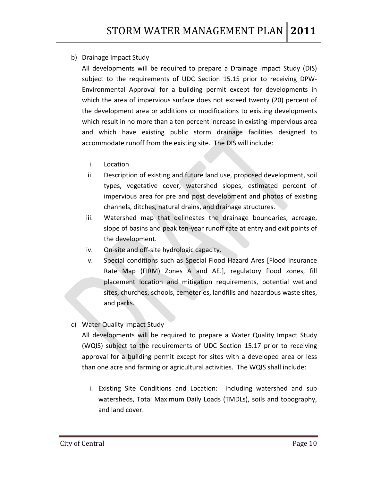#### b) Drainage Impact Study

All developments will be required to prepare a Drainage Impact Study (DIS) subject to the requirements of UDC Section 15.15 prior to receiving DPW‐ Environmental Approval for a building permit except for developments in which the area of impervious surface does not exceed twenty (20) percent of the development area or additions or modifications to existing developments which result in no more than a ten percent increase in existing impervious area and which have existing public storm drainage facilities designed to accommodate runoff from the existing site. The DIS will include:

- i. Location
- ii. Description of existing and future land use, proposed development, soil types, vegetative cover, watershed slopes, estimated percent of impervious area for pre and post development and photos of existing channels, ditches, natural drains, and drainage structures.
- iii. Watershed map that delineates the drainage boundaries, acreage, slope of basins and peak ten‐year runoff rate at entry and exit points of the development.
- iv. On‐site and off‐site hydrologic capacity.
- v. Special conditions such as Special Flood Hazard Ares [Flood Insurance Rate Map (FIRM) Zones A and AE.], regulatory flood zones, fill placement location and mitigation requirements, potential wetland sites, churches, schools, cemeteries, landfills and hazardous waste sites, and parks.

#### c) Water Quality Impact Study

All developments will be required to prepare a Water Quality Impact Study (WQIS) subject to the requirements of UDC Section 15.17 prior to receiving approval for a building permit except for sites with a developed area or less than one acre and farming or agricultural activities. The WQIS shall include:

i. Existing Site Conditions and Location: Including watershed and sub watersheds, Total Maximum Daily Loads (TMDLs), soils and topography, and land cover.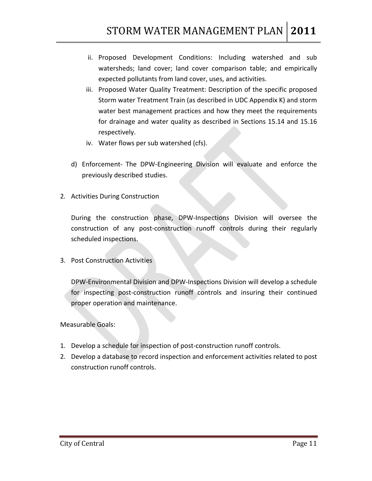- ii. Proposed Development Conditions: Including watershed and sub watersheds; land cover; land cover comparison table; and empirically expected pollutants from land cover, uses, and activities.
- iii. Proposed Water Quality Treatment: Description of the specific proposed Storm water Treatment Train (as described in UDC Appendix K) and storm water best management practices and how they meet the requirements for drainage and water quality as described in Sections 15.14 and 15.16 respectively.
- iv. Water flows per sub watershed (cfs).
- d) Enforcement‐ The DPW‐Engineering Division will evaluate and enforce the previously described studies.
- 2. Activities During Construction

During the construction phase, DPW‐Inspections Division will oversee the construction of any post‐construction runoff controls during their regularly scheduled inspections.

3. Post Construction Activities

DPW‐Environmental Division and DPW‐Inspections Division will develop a schedule for inspecting post‐construction runoff controls and insuring their continued proper operation and maintenance.

- 1. Develop a schedule for inspection of post-construction runoff controls.
- 2. Develop a database to record inspection and enforcement activities related to post construction runoff controls.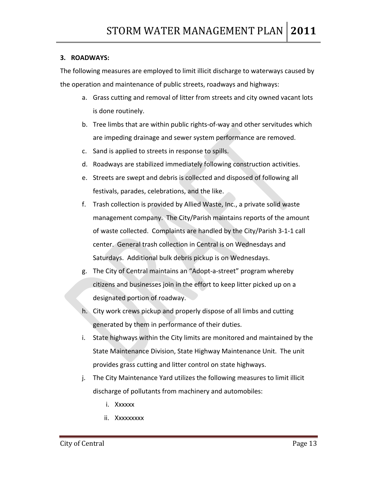#### **3. ROADWAYS:**

The following measures are employed to limit illicit discharge to waterways caused by the operation and maintenance of public streets, roadways and highways:

- a. Grass cutting and removal of litter from streets and city owned vacant lots is done routinely.
- b. Tree limbs that are within public rights‐of‐way and other servitudes which are impeding drainage and sewer system performance are removed.
- c. Sand is applied to streets in response to spills.
- d. Roadways are stabilized immediately following construction activities.
- e. Streets are swept and debris is collected and disposed of following all festivals, parades, celebrations, and the like.
- f. Trash collection is provided by Allied Waste, Inc., a private solid waste management company. The City/Parish maintains reports of the amount of waste collected. Complaints are handled by the City/Parish 3‐1‐1 call center. General trash collection in Central is on Wednesdays and Saturdays. Additional bulk debris pickup is on Wednesdays.
- g. The City of Central maintains an "Adopt‐a‐street" program whereby citizens and businesses join in the effort to keep litter picked up on a designated portion of roadway.
- h. City work crews pickup and properly dispose of all limbs and cutting generated by them in performance of their duties.
- i. State highways within the City limits are monitored and maintained by the State Maintenance Division, State Highway Maintenance Unit. The unit provides grass cutting and litter control on state highways.
- j. The City Maintenance Yard utilizes the following measures to limit illicit discharge of pollutants from machinery and automobiles:
	- i. Xxxxxx
	- ii. Xxxxxxxxx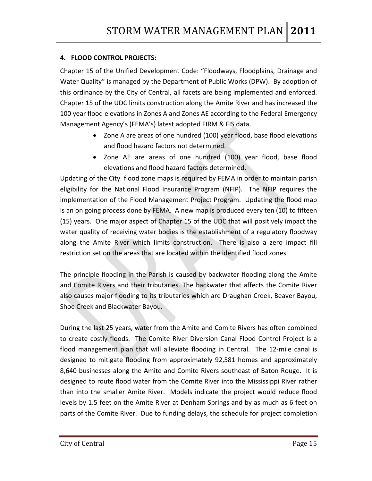#### **4. FLOOD CONTROL PROJECTS:**

Chapter 15 of the Unified Development Code: "Floodways, Floodplains, Drainage and Water Quality" is managed by the Department of Public Works (DPW). By adoption of this ordinance by the City of Central, all facets are being implemented and enforced. Chapter 15 of the UDC limits construction along the Amite River and has increased the 100 year flood elevations in Zones A and Zones AE according to the Federal Emergency Management Agency's (FEMA's) latest adopted FIRM & FIS data.

- Zone A are areas of one hundred (100) year flood, base flood elevations and flood hazard factors not determined.
- Zone AE are areas of one hundred (100) year flood, base flood elevations and flood hazard factors determined.

Updating of the City flood zone maps is required by FEMA in order to maintain parish eligibility for the National Flood Insurance Program (NFIP). The NFIP requires the implementation of the Flood Management Project Program. Updating the flood map is an on going process done by FEMA. A new map is produced every ten (10) to fifteen (15) years. One major aspect of Chapter 15 of the UDC that will positively impact the water quality of receiving water bodies is the establishment of a regulatory floodway along the Amite River which limits construction. There is also a zero impact fill restriction set on the areas that are located within the identified flood zones.

The principle flooding in the Parish is caused by backwater flooding along the Amite and Comite Rivers and their tributaries. The backwater that affects the Comite River also causes major flooding to its tributaries which are Draughan Creek, Beaver Bayou, Shoe Creek and Blackwater Bayou.

During the last 25 years, water from the Amite and Comite Rivers has often combined to create costly floods. The Comite River Diversion Canal Flood Control Project is a flood management plan that will alleviate flooding in Central. The 12-mile canal is designed to mitigate flooding from approximately 92,581 homes and approximately 8,640 businesses along the Amite and Comite Rivers southeast of Baton Rouge. It is designed to route flood water from the Comite River into the Mississippi River rather than into the smaller Amite River. Models indicate the project would reduce flood levels by 1.5 feet on the Amite River at Denham Springs and by as much as 6 feet on parts of the Comite River. Due to funding delays, the schedule for project completion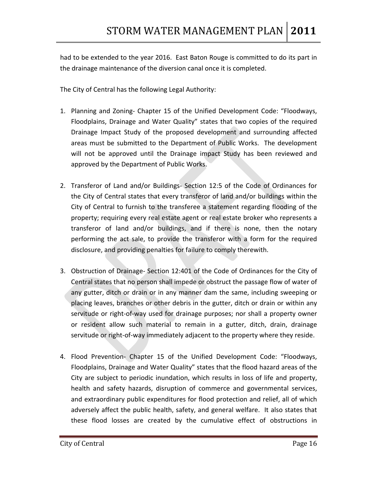had to be extended to the year 2016. East Baton Rouge is committed to do its part in the drainage maintenance of the diversion canal once it is completed.

The City of Central has the following Legal Authority:

- 1. Planning and Zoning‐ Chapter 15 of the Unified Development Code: "Floodways, Floodplains, Drainage and Water Quality" states that two copies of the required Drainage Impact Study of the proposed development and surrounding affected areas must be submitted to the Department of Public Works. The development will not be approved until the Drainage impact Study has been reviewed and approved by the Department of Public Works.
- 2. Transferor of Land and/or Buildings‐ Section 12:5 of the Code of Ordinances for the City of Central states that every transferor of land and/or buildings within the City of Central to furnish to the transferee a statement regarding flooding of the property; requiring every real estate agent or real estate broker who represents a transferor of land and/or buildings, and if there is none, then the notary performing the act sale, to provide the transferor with a form for the required disclosure, and providing penalties for failure to comply therewith.
- 3. Obstruction of Drainage‐ Section 12:401 of the Code of Ordinances for the City of Central states that no person shall impede or obstruct the passage flow of water of any gutter, ditch or drain or in any manner dam the same, including sweeping or placing leaves, branches or other debris in the gutter, ditch or drain or within any servitude or right-of-way used for drainage purposes; nor shall a property owner or resident allow such material to remain in a gutter, ditch, drain, drainage servitude or right-of-way immediately adjacent to the property where they reside.
- 4. Flood Prevention‐ Chapter 15 of the Unified Development Code: "Floodways, Floodplains, Drainage and Water Quality" states that the flood hazard areas of the City are subject to periodic inundation, which results in loss of life and property, health and safety hazards, disruption of commerce and governmental services, and extraordinary public expenditures for flood protection and relief, all of which adversely affect the public health, safety, and general welfare. It also states that these flood losses are created by the cumulative effect of obstructions in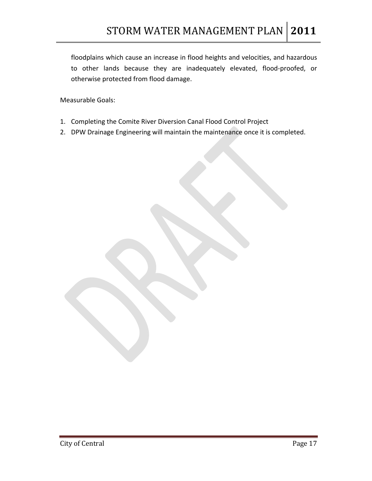floodplains which cause an increase in flood heights and velocities, and hazardous to other lands because they are inadequately elevated, flood‐proofed, or otherwise protected from flood damage.

- 1. Completing the Comite River Diversion Canal Flood Control Project
- 2. DPW Drainage Engineering will maintain the maintenance once it is completed.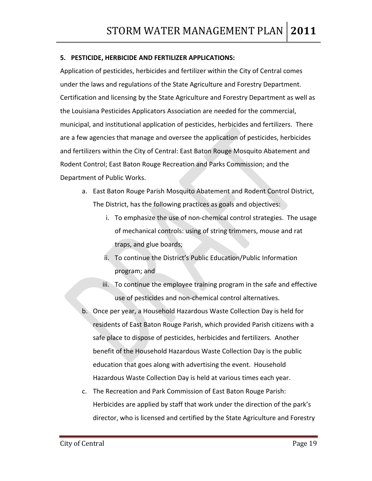#### **5. PESTICIDE, HERBICIDE AND FERTILIZER APPLICATIONS:**

Application of pesticides, herbicides and fertilizer within the City of Central comes under the laws and regulations of the State Agriculture and Forestry Department. Certification and licensing by the State Agriculture and Forestry Department as well as the Louisiana Pesticides Applicators Association are needed for the commercial, municipal, and institutional application of pesticides, herbicides and fertilizers. There are a few agencies that manage and oversee the application of pesticides, herbicides and fertilizers within the City of Central: East Baton Rouge Mosquito Abatement and Rodent Control; East Baton Rouge Recreation and Parks Commission; and the Department of Public Works.

- a. East Baton Rouge Parish Mosquito Abatement and Rodent Control District, The District, has the following practices as goals and objectives:
	- i. To emphasize the use of non‐chemical control strategies. The usage of mechanical controls: using of string trimmers, mouse and rat traps, and glue boards;
	- ii. To continue the District's Public Education/Public Information program; and
	- iii. To continue the employee training program in the safe and effective use of pesticides and non‐chemical control alternatives.
- b. Once per year, a Household Hazardous Waste Collection Day is held for residents of East Baton Rouge Parish, which provided Parish citizens with a safe place to dispose of pesticides, herbicides and fertilizers. Another benefit of the Household Hazardous Waste Collection Day is the public education that goes along with advertising the event. Household Hazardous Waste Collection Day is held at various times each year.
- c. The Recreation and Park Commission of East Baton Rouge Parish: Herbicides are applied by staff that work under the direction of the park's director, who is licensed and certified by the State Agriculture and Forestry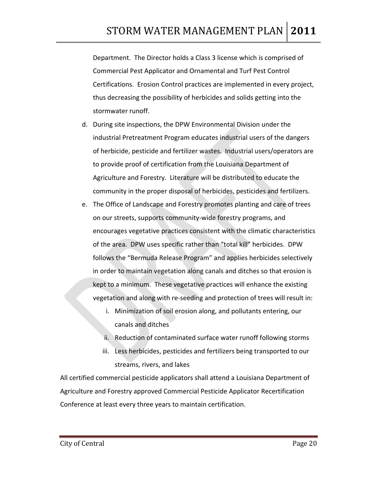Department. The Director holds a Class 3 license which is comprised of Commercial Pest Applicator and Ornamental and Turf Pest Control Certifications. Erosion Control practices are implemented in every project, thus decreasing the possibility of herbicides and solids getting into the stormwater runoff.

- d. During site inspections, the DPW Environmental Division under the industrial Pretreatment Program educates industrial users of the dangers of herbicide, pesticide and fertilizer wastes. Industrial users/operators are to provide proof of certification from the Louisiana Department of Agriculture and Forestry. Literature will be distributed to educate the community in the proper disposal of herbicides, pesticides and fertilizers.
- e. The Office of Landscape and Forestry promotes planting and care of trees on our streets, supports community‐wide forestry programs, and encourages vegetative practices consistent with the climatic characteristics of the area. DPW uses specific rather than "total kill" herbicides. DPW follows the "Bermuda Release Program" and applies herbicides selectively in order to maintain vegetation along canals and ditches so that erosion is kept to a minimum. These vegetative practices will enhance the existing vegetation and along with re‐seeding and protection of trees will result in:
	- i. Minimization of soil erosion along, and pollutants entering, our canals and ditches
	- ii. Reduction of contaminated surface water runoff following storms
	- iii. Less herbicides, pesticides and fertilizers being transported to our streams, rivers, and lakes

All certified commercial pesticide applicators shall attend a Louisiana Department of Agriculture and Forestry approved Commercial Pesticide Applicator Recertification Conference at least every three years to maintain certification.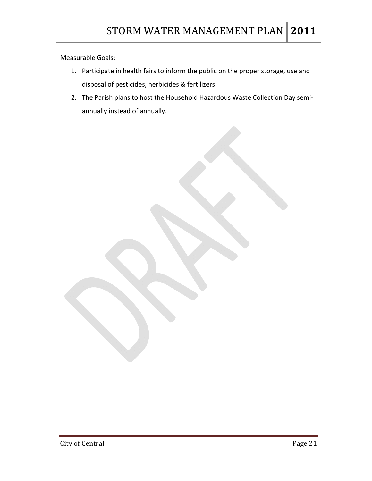- 1. Participate in health fairs to inform the public on the proper storage, use and disposal of pesticides, herbicides & fertilizers.
- 2. The Parish plans to host the Household Hazardous Waste Collection Day semi‐ annually instead of annually.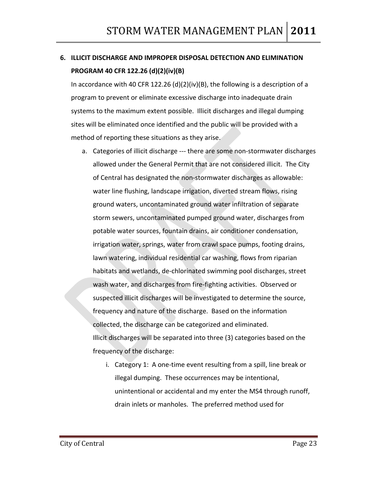## **6. ILLICIT DISCHARGE AND IMPROPER DISPOSAL DETECTION AND ELIMINATION PROGRAM 40 CFR 122.26 (d)(2)(iv)(B)**

In accordance with 40 CFR 122.26 (d)(2)(iv)(B), the following is a description of a program to prevent or eliminate excessive discharge into inadequate drain systems to the maximum extent possible. Illicit discharges and illegal dumping sites will be eliminated once identified and the public will be provided with a method of reporting these situations as they arise.

- a. Categories of illicit discharge ‐‐‐ there are some non‐stormwater discharges allowed under the General Permit that are not considered illicit. The City of Central has designated the non‐stormwater discharges as allowable: water line flushing, landscape irrigation, diverted stream flows, rising ground waters, uncontaminated ground water infiltration of separate storm sewers, uncontaminated pumped ground water, discharges from potable water sources, fountain drains, air conditioner condensation, irrigation water, springs, water from crawl space pumps, footing drains, lawn watering, individual residential car washing, flows from riparian habitats and wetlands, de‐chlorinated swimming pool discharges, street wash water, and discharges from fire-fighting activities. Observed or suspected illicit discharges will be investigated to determine the source, frequency and nature of the discharge. Based on the information collected, the discharge can be categorized and eliminated. Illicit discharges will be separated into three (3) categories based on the frequency of the discharge:
	- i. Category 1: A one-time event resulting from a spill, line break or illegal dumping. These occurrences may be intentional, unintentional or accidental and my enter the MS4 through runoff, drain inlets or manholes. The preferred method used for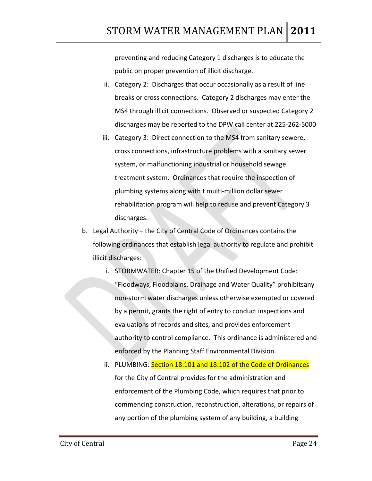preventing and reducing Category 1 discharges is to educate the public on proper prevention of illicit discharge.

- ii. Category 2: Discharges that occur occasionally as a result of line breaks or cross connections. Category 2 discharges may enter the MS4 through illicit connections. Observed or suspected Category 2 discharges may be reported to the DPW call center at 225‐262‐5000
- iii. Category 3: Direct connection to the MS4 from sanitary sewere, cross connections, infrastructure problems with a sanitary sewer system, or malfunctioning industrial or household sewage treatment system. Ordinances that require the inspection of plumbing systems along with t multi‐million dollar sewer rehabilitation program will help to reduse and prevent Category 3 discharges.
- b. Legal Authority the City of Central Code of Ordinances contains the following ordinances that establish legal authority to regulate and prohibit illicit discharges:
	- i. STORMWATER: Chapter 15 of the Unified Development Code: "Floodways, Floodplains, Drainage and Water Quality" prohibitsany non‐storm water discharges unless otherwise exempted or covered by a permit, grants the right of entry to conduct inspections and evaluations of records and sites, and provides enforcement authority to control compliance. This ordinance is administered and enforced by the Planning Staff Environmental Division.
	- ii. PLUMBING: Section 18:101 and 18:102 of the Code of Ordinances for the City of Central provides for the administration and enforcement of the Plumbing Code, which requires that prior to commencing construction, reconstruction, alterations, or repairs of any portion of the plumbing system of any building, a building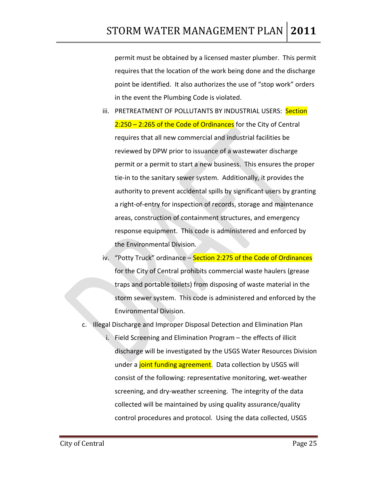permit must be obtained by a licensed master plumber. This permit requires that the location of the work being done and the discharge point be identified. It also authorizes the use of "stop work" orders in the event the Plumbing Code is violated.

- iii. PRETREATMENT OF POLLUTANTS BY INDUSTRIAL USERS: Section 2:250 – 2:265 of the Code of Ordinances for the City of Central requires that all new commercial and industrial facilities be reviewed by DPW prior to issuance of a wastewater discharge permit or a permit to start a new business. This ensures the proper tie‐in to the sanitary sewer system. Additionally, it provides the authority to prevent accidental spills by significant users by granting a right‐of‐entry for inspection of records, storage and maintenance areas, construction of containment structures, and emergency response equipment. This code is administered and enforced by the Environmental Division.
- iv. "Potty Truck" ordinance Section 2:275 of the Code of Ordinances for the City of Central prohibits commercial waste haulers (grease traps and portable toilets) from disposing of waste material in the storm sewer system. This code is administered and enforced by the Environmental Division.
- c. Illegal Discharge and Improper Disposal Detection and Elimination Plan
	- Field Screening and Elimination Program the effects of illicit discharge will be investigated by the USGS Water Resources Division under a joint funding agreement. Data collection by USGS will consist of the following: representative monitoring, wet‐weather screening, and dry-weather screening. The integrity of the data collected will be maintained by using quality assurance/quality control procedures and protocol. Using the data collected, USGS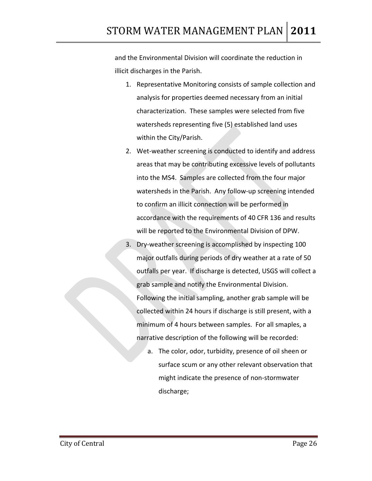and the Environmental Division will coordinate the reduction in illicit discharges in the Parish.

- 1. Representative Monitoring consists of sample collection and analysis for properties deemed necessary from an initial characterization. These samples were selected from five watersheds representing five (5) established land uses within the City/Parish.
- 2. Wet-weather screening is conducted to identify and address areas that may be contributing excessive levels of pollutants into the MS4. Samples are collected from the four major watersheds in the Parish. Any follow-up screening intended to confirm an illicit connection will be performed in accordance with the requirements of 40 CFR 136 and results will be reported to the Environmental Division of DPW.
- 3. Dry‐weather screening is accomplished by inspecting 100 major outfalls during periods of dry weather at a rate of 50 outfalls per year. If discharge is detected, USGS will collect a grab sample and notify the Environmental Division. Following the initial sampling, another grab sample will be collected within 24 hours if discharge is still present, with a minimum of 4 hours between samples. For all smaples, a narrative description of the following will be recorded:
	- a. The color, odor, turbidity, presence of oil sheen or surface scum or any other relevant observation that might indicate the presence of non‐stormwater discharge;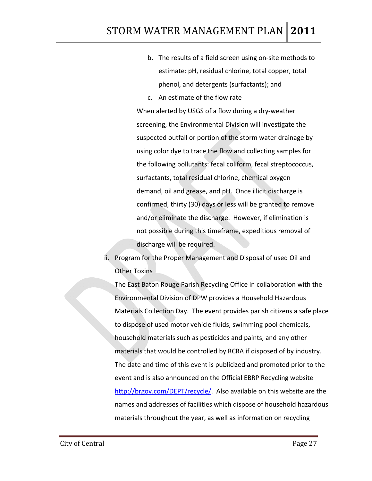- b. The results of a field screen using on‐site methods to estimate: pH, residual chlorine, total copper, total phenol, and detergents (surfactants); and
- c. An estimate of the flow rate

When alerted by USGS of a flow during a dry‐weather screening, the Environmental Division will investigate the suspected outfall or portion of the storm water drainage by using color dye to trace the flow and collecting samples for the following pollutants: fecal coliform, fecal streptococcus, surfactants, total residual chlorine, chemical oxygen demand, oil and grease, and pH. Once illicit discharge is confirmed, thirty (30) days or less will be granted to remove and/or eliminate the discharge. However, if elimination is not possible during this timeframe, expeditious removal of discharge will be required.

ii. Program for the Proper Management and Disposal of used Oil and Other Toxins

The East Baton Rouge Parish Recycling Office in collaboration with the Environmental Division of DPW provides a Household Hazardous Materials Collection Day. The event provides parish citizens a safe place to dispose of used motor vehicle fluids, swimming pool chemicals, household materials such as pesticides and paints, and any other materials that would be controlled by RCRA if disposed of by industry. The date and time of this event is publicized and promoted prior to the event and is also announced on the Official EBRP Recycling website [http://brgov.com/DEPT/recycle/.](http://brgov.com/DEPT/recycle/) Also available on this website are the names and addresses of facilities which dispose of household hazardous materials throughout the year, as well as information on recycling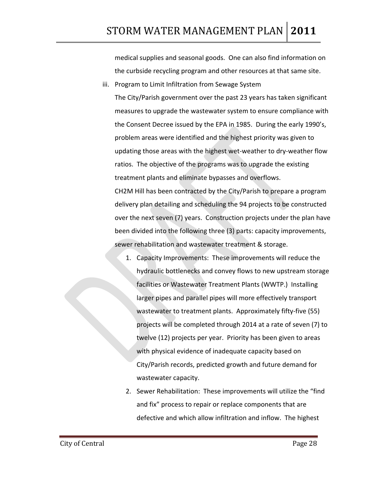medical supplies and seasonal goods. One can also find information on the curbside recycling program and other resources at that same site.

iii. Program to Limit Infiltration from Sewage System

The City/Parish government over the past 23 years has taken significant measures to upgrade the wastewater system to ensure compliance with the Consent Decree issued by the EPA in 1985. During the early 1990's, problem areas were identified and the highest priority was given to updating those areas with the highest wet‐weather to dry‐weather flow ratios. The objective of the programs was to upgrade the existing treatment plants and eliminate bypasses and overflows.

CH2M Hill has been contracted by the City/Parish to prepare a program delivery plan detailing and scheduling the 94 projects to be constructed over the next seven (7) years. Construction projects under the plan have been divided into the following three (3) parts: capacity improvements, sewer rehabilitation and wastewater treatment & storage.

- 1. Capacity Improvements: These improvements will reduce the hydraulic bottlenecks and convey flows to new upstream storage facilities or Wastewater Treatment Plants (WWTP.) Installing larger pipes and parallel pipes will more effectively transport wastewater to treatment plants. Approximately fifty-five (55) projects will be completed through 2014 at a rate of seven (7) to twelve (12) projects per year. Priority has been given to areas with physical evidence of inadequate capacity based on City/Parish records, predicted growth and future demand for wastewater capacity.
- 2. Sewer Rehabilitation: These improvements will utilize the "find and fix" process to repair or replace components that are defective and which allow infiltration and inflow. The highest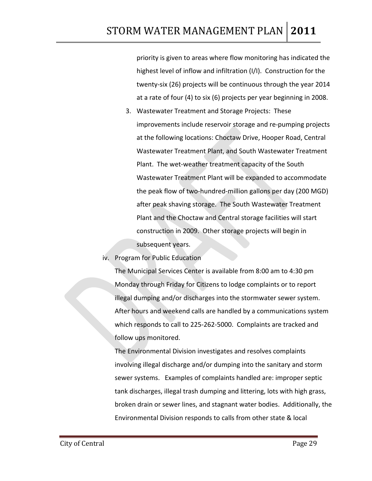priority is given to areas where flow monitoring has indicated the highest level of inflow and infiltration (I/I). Construction for the twenty‐six (26) projects will be continuous through the year 2014 at a rate of four (4) to six (6) projects per year beginning in 2008.

3. Wastewater Treatment and Storage Projects: These improvements include reservoir storage and re‐pumping projects at the following locations: Choctaw Drive, Hooper Road, Central Wastewater Treatment Plant, and South Wastewater Treatment Plant. The wet‐weather treatment capacity of the South Wastewater Treatment Plant will be expanded to accommodate the peak flow of two‐hundred‐million gallons per day (200 MGD) after peak shaving storage. The South Wastewater Treatment Plant and the Choctaw and Central storage facilities will start construction in 2009. Other storage projects will begin in subsequent years.

iv. Program for Public Education

The Municipal Services Center is available from 8:00 am to 4:30 pm Monday through Friday for Citizens to lodge complaints or to report illegal dumping and/or discharges into the stormwater sewer system. After hours and weekend calls are handled by a communications system which responds to call to 225‐262‐5000. Complaints are tracked and follow ups monitored.

The Environmental Division investigates and resolves complaints involving illegal discharge and/or dumping into the sanitary and storm sewer systems. Examples of complaints handled are: improper septic tank discharges, illegal trash dumping and littering, lots with high grass, broken drain or sewer lines, and stagnant water bodies. Additionally, the Environmental Division responds to calls from other state & local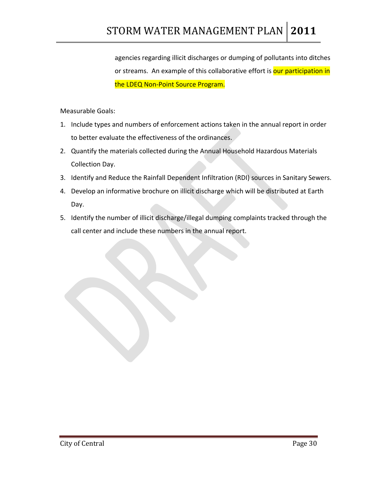agencies regarding illicit discharges or dumping of pollutants into ditches or streams. An example of this collaborative effort is our participation in the LDEQ Non‐Point Source Program.

- 1. Include types and numbers of enforcement actions taken in the annual report in order to better evaluate the effectiveness of the ordinances.
- 2. Quantify the materials collected during the Annual Household Hazardous Materials Collection Day.
- 3. Identify and Reduce the Rainfall Dependent Infiltration (RDI) sources in Sanitary Sewers.
- 4. Develop an informative brochure on illicit discharge which will be distributed at Earth Day.
- 5. Identify the number of illicit discharge/illegal dumping complaints tracked through the call center and include these numbers in the annual report.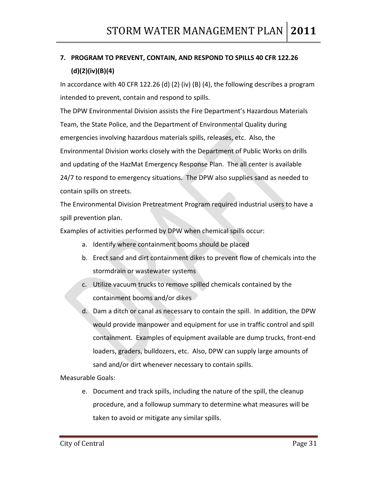## **7. PROGRAM TO PREVENT, CONTAIN, AND RESPOND TO SPILLS 40 CFR 122.26 (d)(2)(iv)(B)(4)**

In accordance with 40 CFR 122.26 (d) (2) (iv) (B) (4), the following describes a program intended to prevent, contain and respond to spills.

The DPW Environmental Division assists the Fire Department's Hazardous Materials Team, the State Police, and the Department of Environmental Quality during emergencies involving hazardous materials spills, releases, etc. Also, the Environmental Division works closely with the Department of Public Works on drills and updating of the HazMat Emergency Response Plan. The all center is available 24/7 to respond to emergency situations. The DPW also supplies sand as needed to contain spills on streets.

The Environmental Division Pretreatment Program required industrial users to have a spill prevention plan.

Examples of activities performed by DPW when chemical spills occur:

- a. Identify where containment booms should be placed
- b. Erect sand and dirt containment dikes to prevent flow of chemicals into the stormdrain or wastewater systems
- c. Utilize vacuum trucks to remove spilled chemicals contained by the containment booms and/or dikes
- d. Dam a ditch or canal as necessary to contain the spill. In addition, the DPW would provide manpower and equipment for use in traffic control and spill containment. Examples of equipment available are dump trucks, front‐end loaders, graders, bulldozers, etc. Also, DPW can supply large amounts of sand and/or dirt whenever necessary to contain spills.

Measurable Goals:

e. Document and track spills, including the nature of the spill, the cleanup procedure, and a followup summary to determine what measures will be taken to avoid or mitigate any similar spills.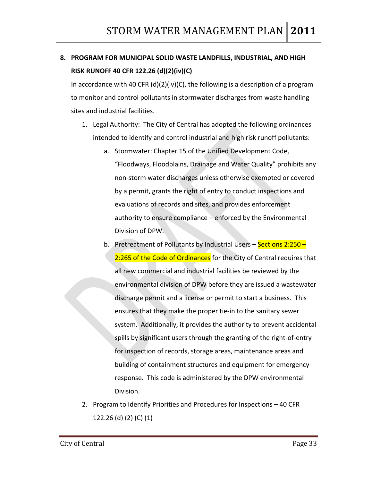### **8. PROGRAM FOR MUNICIPAL SOLID WASTE LANDFILLS, INDUSTRIAL, AND HIGH RISK RUNOFF 40 CFR 122.26 (d)(2)(iv)(C)**

In accordance with 40 CFR (d)(2)(iv)(C), the following is a description of a program to monitor and control pollutants in stormwater discharges from waste handling sites and industrial facilities.

- 1. Legal Authority: The City of Central has adopted the following ordinances intended to identify and control industrial and high risk runoff pollutants:
	- a. Stormwater: Chapter 15 of the Unified Development Code, "Floodways, Floodplains, Drainage and Water Quality" prohibits any non‐storm water discharges unless otherwise exempted or covered by a permit, grants the right of entry to conduct inspections and evaluations of records and sites, and provides enforcement authority to ensure compliance – enforced by the Environmental Division of DPW.
	- b. Pretreatment of Pollutants by Industrial Users Sections 2:250 -2:265 of the Code of Ordinances for the City of Central requires that all new commercial and industrial facilities be reviewed by the environmental division of DPW before they are issued a wastewater discharge permit and a license or permit to start a business. This ensures that they make the proper tie‐in to the sanitary sewer system. Additionally, it provides the authority to prevent accidental spills by significant users through the granting of the right-of-entry for inspection of records, storage areas, maintenance areas and building of containment structures and equipment for emergency response. This code is administered by the DPW environmental Division.
- 2. Program to Identify Priorities and Procedures for Inspections 40 CFR 122.26 (d) (2) (C) (1)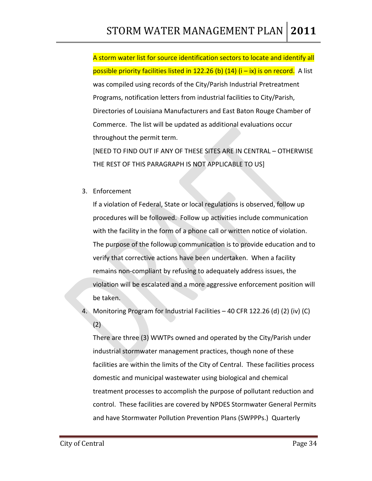A storm water list for source identification sectors to locate and identify all possible priority facilities listed in 122.26 (b)  $(14)$   $(i - ix)$  is on record. A list was compiled using records of the City/Parish Industrial Pretreatment Programs, notification letters from industrial facilities to City/Parish, Directories of Louisiana Manufacturers and East Baton Rouge Chamber of Commerce. The list will be updated as additional evaluations occur throughout the permit term.

[NEED TO FIND OUT IF ANY OF THESE SITES ARE IN CENTRAL – OTHERWISE THE REST OF THIS PARAGRAPH IS NOT APPLICABLE TO US]

3. Enforcement

If a violation of Federal, State or local regulations is observed, follow up procedures will be followed. Follow up activities include communication with the facility in the form of a phone call or written notice of violation. The purpose of the followup communication is to provide education and to verify that corrective actions have been undertaken. When a facility remains non‐compliant by refusing to adequately address issues, the violation will be escalated and a more aggressive enforcement position will be taken.

4. Monitoring Program for Industrial Facilities – 40 CFR 122.26 (d) (2) (iv) (C) (2)

There are three (3) WWTPs owned and operated by the City/Parish under industrial stormwater management practices, though none of these facilities are within the limits of the City of Central. These facilities process domestic and municipal wastewater using biological and chemical treatment processes to accomplish the purpose of pollutant reduction and control. These facilities are covered by NPDES Stormwater General Permits and have Stormwater Pollution Prevention Plans (SWPPPs.) Quarterly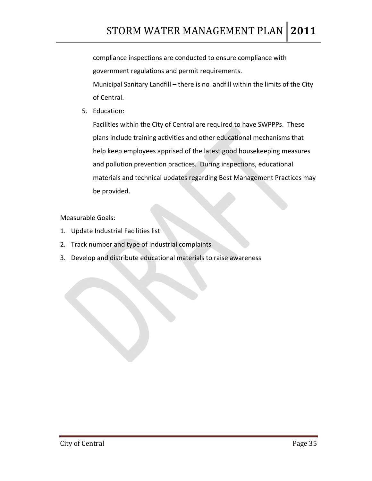compliance inspections are conducted to ensure compliance with government regulations and permit requirements.

Municipal Sanitary Landfill – there is no landfill within the limits of the City of Central.

5. Education:

Facilities within the City of Central are required to have SWPPPs. These plans include training activities and other educational mechanisms that help keep employees apprised of the latest good housekeeping measures and pollution prevention practices. During inspections, educational materials and technical updates regarding Best Management Practices may be provided.

- 1. Update Industrial Facilities list
- 2. Track number and type of Industrial complaints
- 3. Develop and distribute educational materials to raise awareness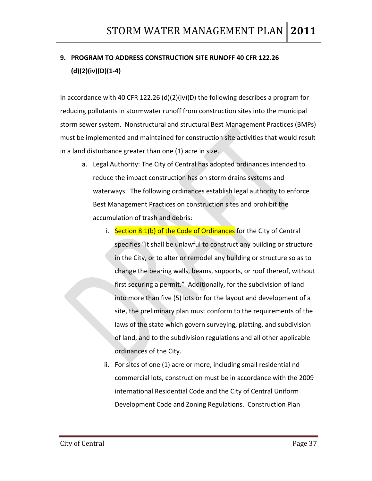## **9. PROGRAM TO ADDRESS CONSTRUCTION SITE RUNOFF 40 CFR 122.26 (d)(2)(iv)(D)(1‐4)**

In accordance with 40 CFR 122.26 (d)(2)(iv)(D) the following describes a program for reducing pollutants in stormwater runoff from construction sites into the municipal storm sewer system. Nonstructural and structural Best Management Practices (BMPs) must be implemented and maintained for construction site activities that would result in a land disturbance greater than one (1) acre in size.

- a. Legal Authority: The City of Central has adopted ordinances intended to reduce the impact construction has on storm drains systems and waterways. The following ordinances establish legal authority to enforce Best Management Practices on construction sites and prohibit the accumulation of trash and debris:
	- i. Section 8:1(b) of the Code of Ordinances for the City of Central specifies "it shall be unlawful to construct any building or structure in the City, or to alter or remodel any building or structure so as to change the bearing walls, beams, supports, or roof thereof, without first securing a permit." Additionally, for the subdivision of land into more than five (5) lots or for the layout and development of a site, the preliminary plan must conform to the requirements of the laws of the state which govern surveying, platting, and subdivision of land, and to the subdivision regulations and all other applicable ordinances of the City.
	- ii. For sites of one (1) acre or more, including small residential nd commercial lots, construction must be in accordance with the 2009 international Residential Code and the City of Central Uniform Development Code and Zoning Regulations. Construction Plan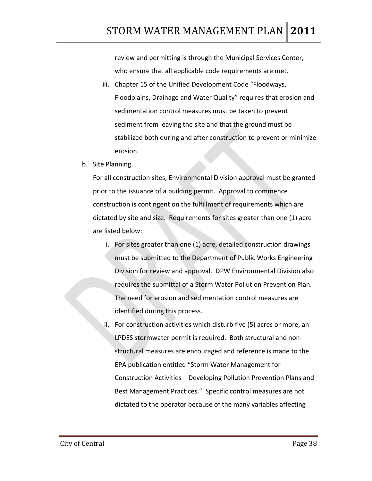review and permitting is through the Municipal Services Center, who ensure that all applicable code requirements are met.

- iii. Chapter 15 of the Unified Development Code "Floodways, Floodplains, Drainage and Water Quality" requires that erosion and sedimentation control measures must be taken to prevent sediment from leaving the site and that the ground must be stabilized both during and after construction to prevent or minimize erosion.
- b. Site Planning

For all construction sites, Environmental Division approval must be granted prior to the issuance of a building permit. Approval to commence construction is contingent on the fulfillment of requirements which are dictated by site and size. Requirements for sites greater than one (1) acre are listed below:

- i. For sites greater than one (1) acre, detailed construction drawings must be submitted to the Department of Public Works Engineering Division for review and approval. DPW Environmental Division also requires the submittal of a Storm Water Pollution Prevention Plan. The need for erosion and sedimentation control measures are identified during this process.
- ii. For construction activities which disturb five (5) acres or more, an LPDES stormwater permit is required. Both structural and non‐ structural measures are encouraged and reference is made to the EPA publication entitled "Storm Water Management for Construction Activities – Developing Pollution Prevention Plans and Best Management Practices." Specific control measures are not dictated to the operator because of the many variables affecting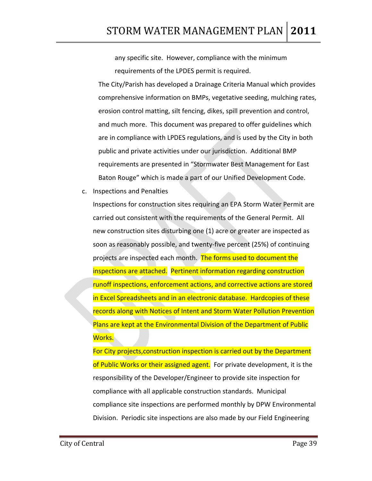any specific site. However, compliance with the minimum requirements of the LPDES permit is required.

The City/Parish has developed a Drainage Criteria Manual which provides comprehensive information on BMPs, vegetative seeding, mulching rates, erosion control matting, silt fencing, dikes, spill prevention and control, and much more. This document was prepared to offer guidelines which are in compliance with LPDES regulations, and is used by the City in both public and private activities under our jurisdiction. Additional BMP requirements are presented in "Stormwater Best Management for East Baton Rouge" which is made a part of our Unified Development Code.

c. Inspections and Penalties

Inspections for construction sites requiring an EPA Storm Water Permit are carried out consistent with the requirements of the General Permit. All new construction sites disturbing one (1) acre or greater are inspected as soon as reasonably possible, and twenty‐five percent (25%) of continuing projects are inspected each month. The forms used to document the inspections are attached. Pertinent information regarding construction runoff inspections, enforcement actions, and corrective actions are stored in Excel Spreadsheets and in an electronic database. Hardcopies of these records along with Notices of Intent and Storm Water Pollution Prevention Plans are kept at the Environmental Division of the Department of Public Works.

For City projects,construction inspection is carried out by the Department of Public Works or their assigned agent. For private development, it is the responsibility of the Developer/Engineer to provide site inspection for compliance with all applicable construction standards. Municipal compliance site inspections are performed monthly by DPW Environmental Division. Periodic site inspections are also made by our Field Engineering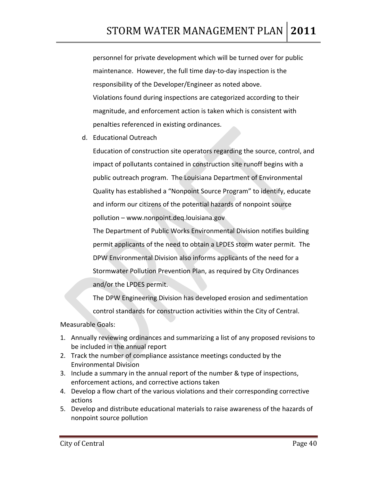personnel for private development which will be turned over for public maintenance. However, the full time day‐to‐day inspection is the responsibility of the Developer/Engineer as noted above. Violations found during inspections are categorized according to their magnitude, and enforcement action is taken which is consistent with penalties referenced in existing ordinances.

d. Educational Outreach

Education of construction site operators regarding the source, control, and impact of pollutants contained in construction site runoff begins with a public outreach program. The Louisiana Department of Environmental Quality has established a "Nonpoint Source Program" to identify, educate and inform our citizens of the potential hazards of nonpoint source pollution – www.nonpoint.deq.louisiana.gov

The Department of Public Works Environmental Division notifies building permit applicants of the need to obtain a LPDES storm water permit. The DPW Environmental Division also informs applicants of the need for a Stormwater Pollution Prevention Plan, as required by City Ordinances and/or the LPDES permit.

The DPW Engineering Division has developed erosion and sedimentation control standards for construction activities within the City of Central.

- 1. Annually reviewing ordinances and summarizing a list of any proposed revisions to be included in the annual report
- 2. Track the number of compliance assistance meetings conducted by the Environmental Division
- 3. Include a summary in the annual report of the number & type of inspections, enforcement actions, and corrective actions taken
- 4. Develop a flow chart of the various violations and their corresponding corrective actions
- 5. Develop and distribute educational materials to raise awareness of the hazards of nonpoint source pollution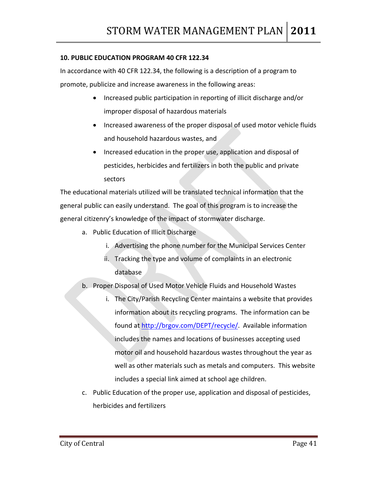#### **10. PUBLIC EDUCATION PROGRAM 40 CFR 122.34**

In accordance with 40 CFR 122.34, the following is a description of a program to promote, publicize and increase awareness in the following areas:

- Increased public participation in reporting of illicit discharge and/or improper disposal of hazardous materials
- Increased awareness of the proper disposal of used motor vehicle fluids and household hazardous wastes, and
- Increased education in the proper use, application and disposal of pesticides, herbicides and fertilizers in both the public and private sectors

The educational materials utilized will be translated technical information that the general public can easily understand. The goal of this program is to increase the general citizenry's knowledge of the impact of stormwater discharge.

- a. Public Education of Illicit Discharge
	- i. Advertising the phone number for the Municipal Services Center
	- ii. Tracking the type and volume of complaints in an electronic database
- b. Proper Disposal of Used Motor Vehicle Fluids and Household Wastes
	- i. The City/Parish Recycling Center maintains a website that provides information about its recycling programs. The information can be found at [http://brgov.com/DEPT/recycle/.](http://brgov.com/DEPT/recycle/) Available information includes the names and locations of businesses accepting used motor oil and household hazardous wastes throughout the year as well as other materials such as metals and computers. This website includes a special link aimed at school age children.
- c. Public Education of the proper use, application and disposal of pesticides, herbicides and fertilizers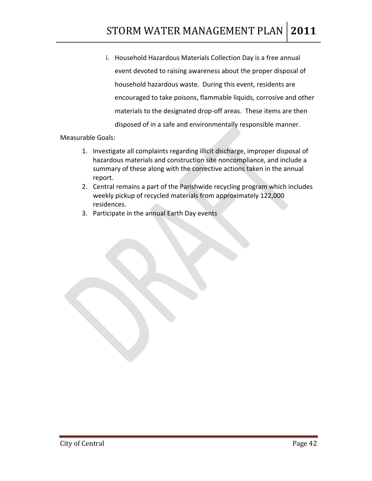i. Household Hazardous Materials Collection Day is a free annual event devoted to raising awareness about the proper disposal of household hazardous waste. During this event, residents are encouraged to take poisons, flammable liquids, corrosive and other materials to the designated drop‐off areas. These items are then disposed of in a safe and environmentally responsible manner.

- 1. Investigate all complaints regarding illicit discharge, improper disposal of hazardous materials and construction site noncompliance, and include a summary of these along with the corrective actions taken in the annual report.
- 2. Central remains a part of the Parishwide recycling program which includes weekly pickup of recycled materials from approximately 122,000 residences.
- 3. Participate in the annual Earth Day events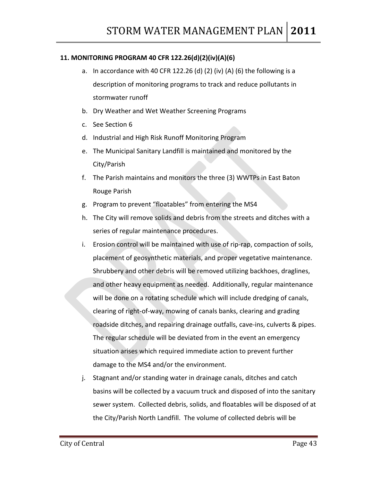#### **11. MONITORING PROGRAM 40 CFR 122.26(d)(2)(iv)(A)(6)**

- a. In accordance with 40 CFR 122.26 (d) (2) (iv) (A) (6) the following is a description of monitoring programs to track and reduce pollutants in stormwater runoff
- b. Dry Weather and Wet Weather Screening Programs
- c. See Section 6
- d. Industrial and High Risk Runoff Monitoring Program
- e. The Municipal Sanitary Landfill is maintained and monitored by the City/Parish
- f. The Parish maintains and monitors the three (3) WWTPs in East Baton Rouge Parish
- g. Program to prevent "floatables" from entering the MS4
- h. The City will remove solids and debris from the streets and ditches with a series of regular maintenance procedures.
- i. Erosion control will be maintained with use of rip-rap, compaction of soils, placement of geosynthetic materials, and proper vegetative maintenance. Shrubbery and other debris will be removed utilizing backhoes, draglines, and other heavy equipment as needed. Additionally, regular maintenance will be done on a rotating schedule which will include dredging of canals, clearing of right‐of‐way, mowing of canals banks, clearing and grading roadside ditches, and repairing drainage outfalls, cave‐ins, culverts & pipes. The regular schedule will be deviated from in the event an emergency situation arises which required immediate action to prevent further damage to the MS4 and/or the environment.
- j. Stagnant and/or standing water in drainage canals, ditches and catch basins will be collected by a vacuum truck and disposed of into the sanitary sewer system. Collected debris, solids, and floatables will be disposed of at the City/Parish North Landfill. The volume of collected debris will be